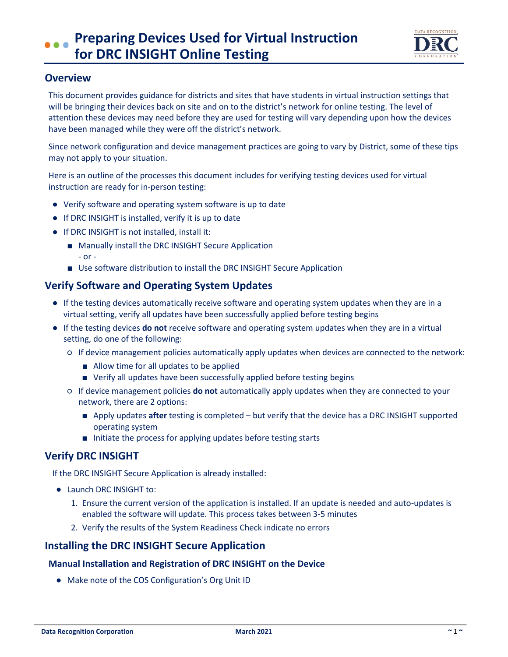

## **Overview**

This document provides guidance for districts and sites that have students in virtual instruction settings that will be bringing their devices back on site and on to the district's network for online testing. The level of attention these devices may need before they are used for testing will vary depending upon how the devices have been managed while they were off the district's network.

Since network configuration and device management practices are going to vary by District, some of these tips may not apply to your situation.

Here is an outline of the processes this document includes for verifying testing devices used for virtual instruction are ready for in-person testing:

- Verify software and operating system software is up to date
- If DRC INSIGHT is installed, verify it is up to date
- If DRC INSIGHT is not installed, install it:
	- Manually install the DRC INSIGHT Secure Application - or -
	- Use software distribution to install the DRC INSIGHT Secure Application

# **Verify Software and Operating System Updates**

- If the testing devices automatically receive software and operating system updates when they are in a virtual setting, verify all updates have been successfully applied before testing begins
- If the testing devices **do not** receive software and operating system updates when they are in a virtual setting, do one of the following:
	- If device management policies automatically apply updates when devices are connected to the network:
		- Allow time for all updates to be applied
		- Verify all updates have been successfully applied before testing begins
	- If device management policies **do not** automatically apply updates when they are connected to your network, there are 2 options:
		- Apply updates **after** testing is completed but verify that the device has a DRC INSIGHT supported operating system
		- Initiate the process for applying updates before testing starts

# **Verify DRC INSIGHT**

If the DRC INSIGHT Secure Application is already installed:

- Launch DRC INSIGHT to:
	- 1. Ensure the current version of the application is installed. If an update is needed and auto-updates is enabled the software will update. This process takes between 3-5 minutes
	- 2. Verify the results of the System Readiness Check indicate no errors

## **Installing the DRC INSIGHT Secure Application**

### **Manual Installation and Registration of DRC INSIGHT on the Device**

● Make note of the COS Configuration's Org Unit ID